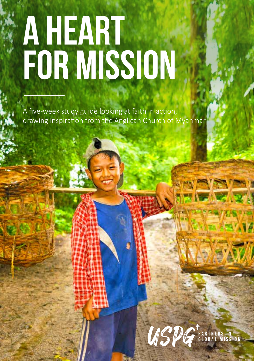# **A HEART FOR MISSION**

A five-week study guide looking at faith in action, drawing inspiration from the Anglican Church of Myanmar

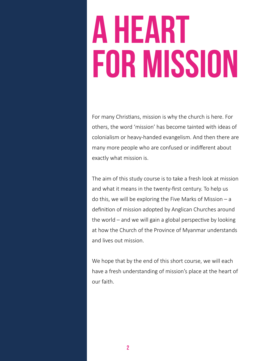# **A HEART FOR MISSION**

For many Christians, mission is why the church is here. For others, the word 'mission' has become tainted with ideas of colonialism or heavy-handed evangelism. And then there are many more people who are confused or indifferent about exactly what mission is.

The aim of this study course is to take a fresh look at mission and what it means in the twenty-first century. To help us do this, we will be exploring the Five Marks of Mission – a definition of mission adopted by Anglican Churches around the world – and we will gain a global perspective by looking at how the Church of the Province of Myanmar understands and lives out mission.

We hope that by the end of this short course, we will each have a fresh understanding of mission's place at the heart of our faith.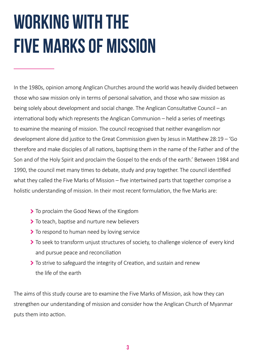## **WORKING WITH THE FIVE MARKS OF MISSION**

In the 1980s, opinion among Anglican Churches around the world was heavily divided between those who saw mission only in terms of personal salvation, and those who saw mission as being solely about development and social change. The Anglican Consultative Council – an international body which represents the Anglican Communion – held a series of meetings to examine the meaning of mission. The council recognised that neither evangelism nor development alone did justice to the Great Commission given by Jesus in Matthew 28:19 – 'Go therefore and make disciples of all nations, baptising them in the name of the Father and of the Son and of the Holy Spirit and proclaim the Gospel to the ends of the earth.' Between 1984 and 1990, the council met many times to debate, study and pray together. The council identified what they called the Five Marks of Mission – five intertwined parts that together comprise a holistic understanding of mission. In their most recent formulation, the five Marks are:

- ▶ To proclaim the Good News of the Kingdom
- ▶ To teach, baptise and nurture new believers
- To respond to human need by loving service
- To seek to transform unjust structures of society, to challenge violence of every kind and pursue peace and reconciliation
- $\sum$  To strive to safeguard the integrity of Creation, and sustain and renew the life of the earth

The aims of this study course are to examine the Five Marks of Mission, ask how they can strengthen our understanding of mission and consider how the Anglican Church of Myanmar puts them into action.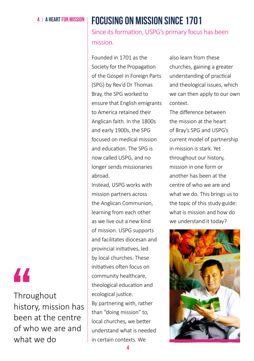## 4 A HEART FOR MISSion **Focusing on mission since 1701**

Since its formation, USPG's primary focus has been mission.

Founded in 1701 as the Society for the Propagation of the Gospel in Foreign Parts (SPG) by Rev'd Dr Thomas Bray, the SPG worked to ensure that English emigrants to America retained their Anglican faith. In the 1800s and early 1900s, the SPG focused on medical mission and education. The SPG is now called USPG, and no longer sends missionaries abroad.

Instead, USPG works with mission partners across the Anglican Communion, learning from each other as we live out a new kind of mission. USPG supports and facilitates diocesan and provincial initiatives, led by local churches. These initiatives often focus on community healthcare, theological education and ecological justice. By partnering with, rather than "doing mission" to, local churches, we better understand what is needed in certain contexts. We

also learn from these churches, gaining a greater understanding of practical and theological issues, which we can then apply to our own context.

The difference between the mission at the heart of Bray's SPG and USPG's current model of partnership in mission is stark. Yet throughout our history, mission in one form or another has been at the centre of who we are and what we do. This brings us to the topic of this study guide: what is mission and how do we understand it today?



## "

**Throughout** history, mission has been at the centre of who we are and what we do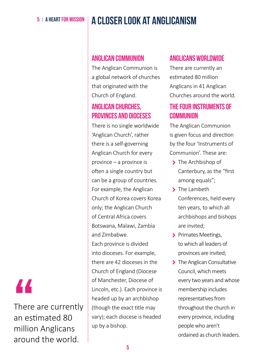## 5 A HEART FOR MISSION **A CLOSER LOOK AT ANGLICANISM**

## **Anglican Communion**

The Anglican Communion is a global network of churches that originated with the Church of England.

## **Anglican Churches, provinces and diocese**s

There is no single worldwide 'Anglican Church', rather there is a self-governing Anglican Church for every province – a province is often a single country but can be a group of countries. For example, the Anglican Church of Korea covers Korea only; the Anglican Church of Central Africa covers Botswana, Malawi, Zambia and Zimbabwe. Each province is divided into dioceses. For example, there are 42 dioceses in the Church of England (Diocese of Manchester, Diocese of Lincoln, etc.). Each province is headed up by an archbishop (though the exact title may vary); each diocese is headed up by a bishop.

## **Anglicans worldwide**

There are currently an estimated 80 million Anglicans in 41 Anglican Churches around the world.

## **The four Instruments of Communion**

The Anglican Communion is given focus and direction by the four 'Instruments of Communion'. These are:

- > The Archbishop of Canterbury, as the "first among equals";
- > The Lambeth Conferences, held every ten years, to which all archbishops and bishops are invited;
- > Primates Meetings. to which all leaders of provinces are invited;
- > The Anglican Consultative Council, which meets every two years and whose membership includes representatives from throughout the church in every province, including people who aren't ordained as church leaders.

## "

There are currently an estimated 80 million Anglicans around the world.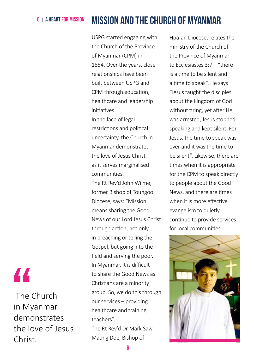## 6 A HEART FOR MISSion **Mission and the Church of Myanmar**

USPG started engaging with the Church of the Province of Myanmar (CPM) in 1854. Over the years, close relationships have been built between USPG and CPM through education, healthcare and leadership initiatives.

In the face of legal restrictions and political uncertainty, the Church in Myanmar demonstrates the love of Jesus Christ as it serves marginalised communities.

The Rt Rev'd John Wilme, former Bishop of Toungoo Diocese, says: "Mission means sharing the Good News of our Lord Jesus Christ through action, not only in preaching or telling the Gospel, but going into the field and serving the poor. In Myanmar, it is difficult to share the Good News as Christians are a minority group. So, we do this through our services – providing healthcare and training teachers".

The Rt Rev'd Dr Mark Saw Maung Doe, Bishop of

Hpa-an Diocese, relates the ministry of the Church of the Province of Myanmar to Ecclesiastes 3:7 – "there is a time to be silent and a time to speak". He says "Jesus taught the disciples about the kingdom of God without tiring, yet after He was arrested, Jesus stopped speaking and kept silent. For Jesus, the time to speak was over and it was the time to be silent". Likewise, there are times when it is appropriate for the CPM to speak directly to people about the Good News, and there are times when it is more effective evangelism to quietly continue to provide services for local communities.



## "

 The Church in Myanmar demonstrates the love of Jesus Christ.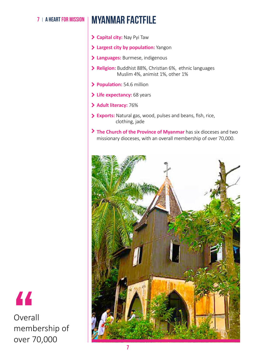## **7 | A HEART FOR MISSION | MYANMAR FACTFILE**

- **Capital city:** Nay Pyi Taw
- **Largest city by population:** Yangon
- **Languages:** Burmese, indigenous
- **Religion:** Buddhist 88%, Christian 6%, ethnic languages Muslim 4%, animist 1%, other 1%
- **Population:** 54.6 million
- **Life expectancy:** 68 years
- **Adult literacy:** 76%
- **Exports:** Natural gas, wood, pulses and beans, fish, rice, clothing, jade
- **The Church of the Province of Myanmar** has six dioceses and two missionary dioceses, with an overall membership of over 70,000.





Overall membership of over 70,000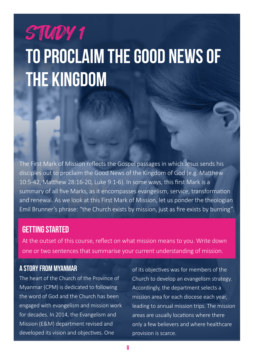## STUDY 1 **TO PROCLAIM THE GOOD NEWS OF THE KINGDOM**

The First Mark of Mission reflects the Gospel passages in which Jesus sends his disciples out to proclaim the Good News of the Kingdom of God (e.g. Matthew 10:5-42, Matthew 28:16-20, Luke 9:1-6). In some ways, this first Mark is a summary of all five Marks, as it encompasses evangelism, service, transformation and renewal. As we look at this First Mark of Mission, let us ponder the theologian Emil Brunner's phrase: "the Church exists by mission, just as fire exists by burning".

## GETTING STARTED

At the outset of this course, reflect on what mission means to you. Write down one or two sentences that summarise your current understanding of mission.

## A Story from Myanmar

The heart of the Church of the Province of Myanmar (CPM) is dedicated to following the word of God and the Church has been engaged with evangelism and mission work for decades. In 2014, the Evangelism and Mission (E&M) department revised and developed its vision and objectives. One

of its objectives was for members of the Church to develop an evangelism strategy. Accordingly, the department selects a mission area for each diocese each year, leading to annual mission trips. The mission areas are usually locations where there only a few believers and where healthcare provision is scarce.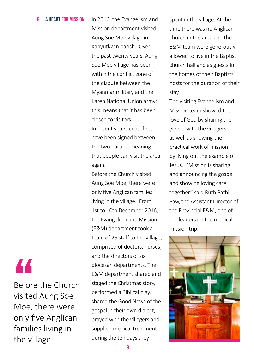### 9 | A HEART FOR MISSION | In 2016, the Evangelism and

Mission department visited Aung Soe Moe village in Kanyutkwin parish. Over the past twenty years, Aung Soe Moe village has been within the conflict zone of the dispute between the Myanmar military and the Karen National Union army; this means that it has been closed to visitors.

In recent years, ceasefires have been signed between the two parties, meaning that people can visit the area again.

Before the Church visited Aung Soe Moe, there were only five Anglican families living in the village. From 1st to 10th December 2016, the Evangelism and Mission (E&M) department took a team of 25 staff to the village, comprised of doctors, nurses, and the directors of six diocesan departments. The E&M department shared and staged the Christmas story, performed a Biblical play, shared the Good News of the gospel in their own dialect, prayed with the villagers and supplied medical treatment during the ten days they

spent in the village. At the time there was no Anglican church in the area and the E&M team were generously allowed to live in the Baptist church hall and as guests in the homes of their Baptists' hosts for the duration of their stay.

The visiting Evangelism and Mission team showed the love of God by sharing the gospel with the villagers as well as showing the practical work of mission by living out the example of Jesus. "Mission is sharing and announcing the gospel and showing loving care together," said Ruth Pathi Paw, the Assistant Director of the Provincial E&M, one of the leaders on the medical mission trip.



## "

Before the Church visited Aung Soe Moe, there were only five Anglican families living in the village.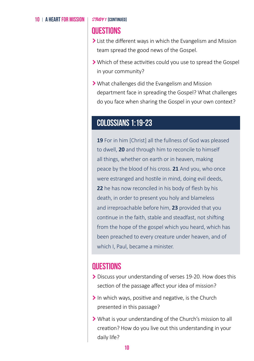### 10  $\pm$  A HEART FOR MISSION  $\pm$  *STUDY 1* [continued]

## **Questions**

- I List the different ways in which the Evangelism and Mission team spread the good news of the Gospel.
- Which of these activities could you use to spread the Gospel in your community?
- What challenges did the Evangelism and Mission department face in spreading the Gospel? What challenges do you face when sharing the Gospel in your own context?

## **Colossians 1:19-23**

**19** For in him [Christ] all the fullness of God was pleased to dwell, **20** and through him to reconcile to himself all things, whether on earth or in heaven, making peace by the blood of his cross. **21** And you, who once were estranged and hostile in mind, doing evil deeds, **22** he has now reconciled in his body of flesh by his death, in order to present you holy and blameless and irreproachable before him, **23** provided that you continue in the faith, stable and steadfast, not shifting from the hope of the gospel which you heard, which has been preached to every creature under heaven, and of which I, Paul, became a minister.

## **Questions**

- Discuss your understanding of verses 19-20. How does this section of the passage affect your idea of mission?
- $\blacktriangleright$  In which ways, positive and negative, is the Church presented in this passage?
- What is your understanding of the Church's mission to all creation? How do you live out this understanding in your daily life?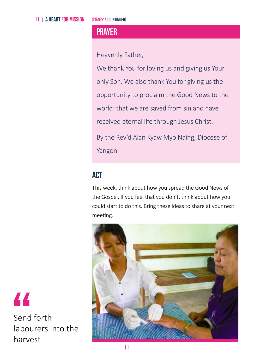## **Prayer**

Heavenly Father,

We thank You for loving us and giving us Your only Son. We also thank You for giving us the opportunity to proclaim the Good News to the world: that we are saved from sin and have received eternal life through Jesus Christ.

By the Rev'd Alan Kyaw Myo Naing, Diocese of Yangon

## **ACT**

This week, think about how you spread the Good News of the Gospel. If you feel that you don't, think about how you could start to do this. Bring these ideas to share at your next meeting.



"

Send forth labourers into the harvest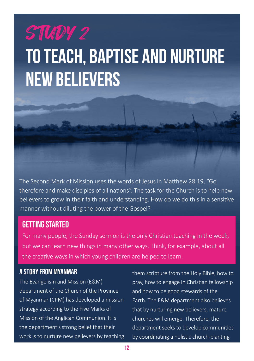## STUDY 2

## **TO TEACH, BAPTISE AND NURTURE NEW BELIEVERS**



## GETTING STARTED

For many people, the Sunday sermon is the only Christian teaching in the week, but we can learn new things in many other ways. Think, for example, about all the creative ways in which young children are helped to learn.

## A Story from Myanmar

The Evangelism and Mission (E&M) department of the Church of the Province of Myanmar (CPM) has developed a mission strategy according to the Five Marks of Mission of the Anglican Communion. It is the department's strong belief that their work is to nurture new believers by teaching them scripture from the Holy Bible, how to pray, how to engage in Christian fellowship and how to be good stewards of the Earth. The E&M department also believes that by nurturing new believers, mature churches will emerge. Therefore, the department seeks to develop communities by coordinating a holistic church-planting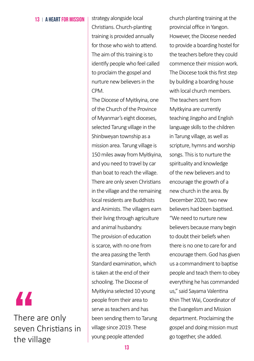### 13 |  $\triangle$  HFART FOR MISSION | strategy alongside local

Christians. Church-planting training is provided annually for those who wish to attend. The aim of this training is to identify people who feel called to proclaim the gospel and nurture new believers in the CPM.

The Diocese of Myitkyina, one of the Church of the Province of Myanmar's eight dioceses, selected Tarung village in the Shinbweyan township as a mission area. Tarung village is 150 miles away from Myitkyina, and you need to travel by car than boat to reach the village. There are only seven Christians in the village and the remaining local residents are Buddhists and Animists. The villagers earn their living through agriculture and animal husbandry. The provision of education is scarce, with no one from the area passing the Tenth Standard examination, which is taken at the end of their schooling. The Diocese of Myitkyina selected 10 young people from their area to serve as teachers and has been sending them to Tarung village since 2019. These young people attended

church planting training at the provincial office in Yangon. However, the Diocese needed to provide a boarding hostel for the teachers before they could commence their mission work. The Diocese took this first step by building a boarding house with local church members. The teachers sent from Myitkyina are currently teaching Jingpho and English language skills to the children in Tarung village, as well as scripture, hymns and worship songs. This is to nurture the spirituality and knowledge of the new believers and to encourage the growth of a new church in the area. By December 2020, two new believers had been baptised. "We need to nurture new believers because many begin to doubt their beliefs when there is no one to care for and encourage them. God has given us a commandment to baptise people and teach them to obey everything he has commanded us," said Sayama Valentina Khin Thet Wai, Coordinator of the Evangelism and Mission department. Proclaiming the gospel and doing mission must go together, she added.

"

There are only seven Christians in the village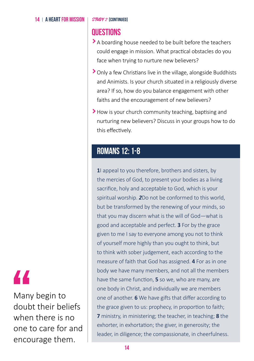## **Questions**

- A boarding house needed to be built before the teachers could engage in mission. What practical obstacles do you face when trying to nurture new believers?
- Only a few Christians live in the village, alongside Buddhists and Animists. Is your church situated in a religiously diverse area? If so, how do you balance engagement with other faiths and the encouragement of new believers?
- How is your church community teaching, baptising and nurturing new believers? Discuss in your groups how to do this effectively.

## **Romans 12: 1-8**

**1**I appeal to you therefore, brothers and sisters, by the mercies of God, to present your bodies as a living sacrifice, holy and acceptable to God, which is your spiritual worship. *2*Do not be conformed to this world, but be transformed by the renewing of your minds, so that you may discern what is the will of God—what is good and acceptable and perfect. **3** For by the grace given to me I say to everyone among you not to think of yourself more highly than you ought to think, but to think with sober judgement, each according to the measure of faith that God has assigned. **4** For as in one body we have many members, and not all the members have the same function, **5** so we, who are many, are one body in Christ, and individually we are members one of another. **6** We have gifts that differ according to the grace given to us: prophecy, in proportion to faith; **7** ministry, in ministering; the teacher, in teaching; **8** the exhorter, in exhortation; the giver, in generosity; the leader, in diligence; the compassionate, in cheerfulness.

## "

Many begin to doubt their beliefs when there is no one to care for and encourage them.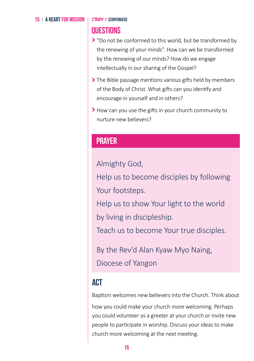### 15 A HEART FOR MISSION

STUDY 2 [CONTINUED]

## **Questions**

- ▶ "Do not be conformed to this world, but be transformed by the renewing of your minds". How can we be transformed by the renewing of our minds? How do we engage intellectually in our sharing of the Gospel?
- The Bible passage mentions various gifts held by members of the Body of Christ. What gifts can you identify and encourage in yourself and in others?
- How can you use the gifts in your church community to nurture new believers?

## **Prayer**

Almighty God,

Help us to become disciples by following Your footsteps.

Help us to show Your light to the world by living in discipleship.

Teach us to become Your true disciples.

By the Rev'd Alan Kyaw Myo Naing,

Diocese of Yangon

## **ACT**

Baptism welcomes new believers into the Church. Think about

how you could make your church more welcoming. Perhaps you could volunteer as a greeter at your church or invite new people to participate in worship. Discuss your ideas to make church more welcoming at the next meeting.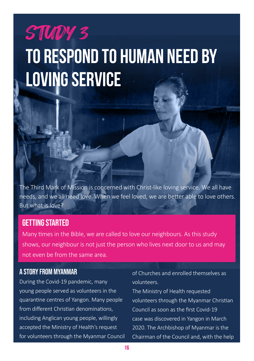## STUDY 3 **TO RESPOND TO HUMAN NEED BY LOVING SERVICE**

The Third Mark of Mission is concerned with Christ-like loving service. We all have needs, and we all need love. When we feel loved, we are better able to love others. But what is love?

## GETTING STARTED

Many times in the Bible, we are called to love our neighbours. As this study shows, our neighbour is not just the person who lives next door to us and may not even be from the same area.

## A Story from Myanmar

During the Covid-19 pandemic, many young people served as volunteers in the quarantine centres of Yangon. Many people from different Christian denominations, including Anglican young people, willingly accepted the Ministry of Health's request for volunteers through the Myanmar Council of Churches and enrolled themselves as volunteers.

The Ministry of Health requested volunteers through the Myanmar Christian Council as soon as the first Covid-19 case was discovered in Yangon in March 2020. The Archbishop of Myanmar is the Chairman of the Council and, with the help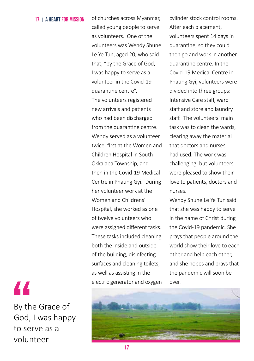17 | A HEART FOR MISSION | of churches across Myanmar, called young people to serve as volunteers. One of the volunteers was Wendy Shune Le Ye Tun, aged 20, who said that, "by the Grace of God, I was happy to serve as a volunteer in the Covid-19 quarantine centre". The volunteers registered new arrivals and patients who had been discharged from the quarantine centre. Wendy served as a volunteer twice: first at the Women and Children Hospital in South Okkalapa Township, and then in the Covid-19 Medical Centre in Phaung Gyi. During her volunteer work at the Women and Childrens' Hospital, she worked as one of twelve volunteers who were assigned different tasks. These tasks included cleaning both the inside and outside of the building, disinfecting surfaces and cleaning toilets, as well as assisting in the electric generator and oxygen cylinder stock control rooms. After each placement, volunteers spent 14 days in quarantine, so they could then go and work in another quarantine centre. In the Covid-19 Medical Centre in Phaung Gyi, volunteers were divided into three groups: Intensive Care staff, ward staff and store and laundry staff. The volunteers' main task was to clean the wards, clearing away the material that doctors and nurses had used. The work was challenging, but volunteers were pleased to show their love to patients, doctors and nurses.

Wendy Shune Le Ye Tun said that she was happy to serve in the name of Christ during the Covid-19 pandemic. She prays that people around the world show their love to each other and help each other, and she hopes and prays that the pandemic will soon be



By the Grace of God, I was happy to serve as a volunteer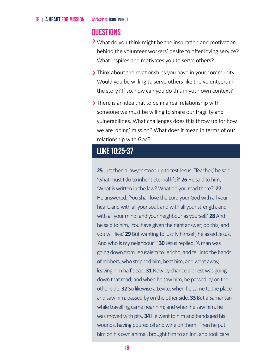## **Questions**

- What do you think might be the inspiration and motivation behind the volunteer workers' desire to offer loving service? What inspires and motivates you to serve others?
- Think about the relationships you have in your community. Would you be willing to serve others like the volunteers in the story? If so, how can you do this in your own context?
- > There is an idea that to be in a real relationship with someone we must be willing to share our fragility and vulnerabilities. What challenges does this throw up for how we are 'doing' mission? What does it mean in terms of our relationship with God?

## **Luke 10:25-37**

25 Just then a lawyer stood up to test Jesus. 'Teacher', he said, 'what must I do to inherit eternal life?' **26** He said to him, 'What is written in the law? What do you read there?' **27** He answered, 'You shall love the Lord your God with all your heart, and with all your soul, and with all your strength, and with all your mind; and your neighbour as yourself.' **28** And he said to him, 'You have given the right answer; do this, and you will live.' **29** But wanting to justify himself, he asked Jesus, 'And who is my neighbour?' **30** Jesus replied, 'A man was going down from Jerusalem to Jericho, and fell into the hands of robbers, who stripped him, beat him, and went away, leaving him half dead. **31** Now by chance a priest was going down that road; and when he saw him, he passed by on the other side. **32** So likewise a Levite, when he came to the place and saw him, passed by on the other side. **33** But a Samaritan while travelling came near him; and when he saw him, he was moved with pity. **34** He went to him and bandaged his wounds, having poured oil and wine on them. Then he put him on his own animal, brought him to an inn, and took care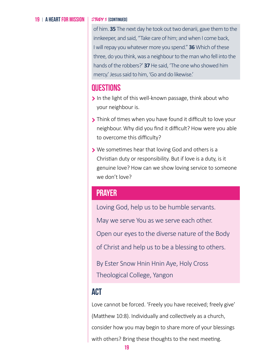### 19 | A HEART FOR MISSION

### STUDY 3 [CONTINUED]

of him. **35** The next day he took out two denarii, gave them to the innkeeper, and said, "Take care of him; and when I come back, I will repay you whatever more you spend." **36** Which of these three, do you think, was a neighbour to the man who fell into the hands of the robbers?' **37** He said, 'The one who showed him mercy.' Jesus said to him, 'Go and do likewise.'

## **Questions**

- $\blacktriangleright$  In the light of this well-known passage, think about who your neighbour is.
- **Think of times when you have found it difficult to love your** neighbour. Why did you find it difficult? How were you able to overcome this difficulty?
- We sometimes hear that loving God and others is a Christian duty or responsibility. But if love is a duty, is it genuine love? How can we show loving service to someone we don't love?

## **Prayer**

Loving God, help us to be humble servants.

May we serve You as we serve each other.

Open our eyes to the diverse nature of the Body

of Christ and help us to be a blessing to others.

By Ester Snow Hnin Hnin Aye, Holy Cross Theological College, Yangon

## **ACT**

Love cannot be forced. 'Freely you have received; freely give' (Matthew 10:8). Individually and collectively as a church, consider how you may begin to share more of your blessings with others? Bring these thoughts to the next meeting.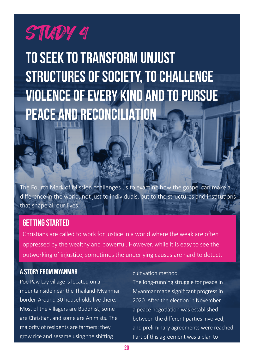## STUDY 4

**TO SEEK TO TRANSFORM UNJUST STRUCTURES OF SOCIETY, TO CHALLENGE VIOLENCE OF EVERY KIND AND TO PURSUE PEACE AND RECONCILIATION**

The Fourth Mark of Mission challenges us to examine how the gospel can make a difference in the world, not just to individuals, but to the structures and institutions that shape all our lives.

## GETTING STARTED

Christians are called to work for justice in a world where the weak are often oppressed by the wealthy and powerful. However, while it is easy to see the outworking of injustice, sometimes the underlying causes are hard to detect.

## A Story from Myanmar

Poe Paw Lay village is located on a mountainside near the Thailand-Myanmar border. Around 30 households live there. Most of the villagers are Buddhist, some are Christian, and some are Animists. The majority of residents are farmers: they grow rice and sesame using the shifting

### cultivation method.

The long-running struggle for peace in Myanmar made significant progress in 2020. After the election in November, a peace negotiation was established between the different parties involved, and preliminary agreements were reached. Part of this agreement was a plan to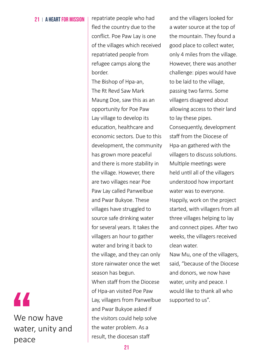21 A HEART FOR MISSION FOR people who had fled the country due to the conflict. Poe Paw Lay is one of the villages which received repatriated people from refugee camps along the border.

The Bishop of Hpa-an, The Rt Revd Saw Mark Maung Doe, saw this as an opportunity for Poe Paw Lay village to develop its education, healthcare and economic sectors. Due to this development, the community has grown more peaceful and there is more stability in the village. However, there are two villages near Poe Paw Lay called Panwelbue and Pwar Bukyoe. These villages have struggled to source safe drinking water for several years. It takes the villagers an hour to gather water and bring it back to the village, and they can only store rainwater once the wet season has begun. When staff from the Diocese of Hpa-an visited Poe Paw Lay, villagers from Panwelbue and Pwar Bukyoe asked if the visitors could help solve the water problem. As a result, the diocesan staff Supported to us".<br>
Lay, villagers from Panwelbue supported to us".<br>
Lay, villagers from Panwelbue supported to us".<br>
and Pwar Bukyoe asked if<br>
the visitors could help solve<br>
the water problem. As a<br>
peace is the diocesan s

and the villagers looked for a water source at the top of the mountain. They found a good place to collect water, only 4 miles from the village. However, there was another challenge: pipes would have to be laid to the village, passing two farms. Some villagers disagreed about allowing access to their land to lay these pipes. Consequently, development staff from the Diocese of Hpa-an gathered with the villagers to discuss solutions. Multiple meetings were held until all of the villagers understood how important water was to everyone. Happily, work on the project started, with villagers from all three villages helping to lay and connect pipes. After two weeks, the villagers received clean water.

Naw Mu, one of the villagers, said, "because of the Diocese and donors, we now have water, unity and peace. I would like to thank all who

## We now have water, unity and peace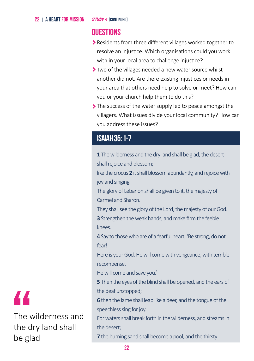### 22 | A HEART FOR MISSION |  $STUDY$  4 [continued]

## **Questions**

- Residents from three different villages worked together to resolve an injustice. Which organisations could you work with in your local area to challenge injustice?
- Two of the villages needed a new water source whilst another did not. Are there existing injustices or needs in your area that others need help to solve or meet? How can you or your church help them to do this?
- The success of the water supply led to peace amongst the villagers. What issues divide your local community? How can you address these issues?

## **Isaiah 35: 1-7**

**1** The wilderness and the dry land shall be glad, the desert shall rejoice and blossom;

like the crocus **2** it shall blossom abundantly, and rejoice with joy and singing.

The glory of Lebanon shall be given to it, the majesty of Carmel and Sharon.

They shall see the glory of the Lord, the majesty of our God.

**3** Strengthen the weak hands, and make firm the feeble knees.

**4** Say to those who are of a fearful heart, 'Be strong, do not fear!

Here is your God. He will come with vengeance, with terrible recompense.

He will come and save you.'

**5** Then the eyes of the blind shall be opened, and the ears of the deaf unstopped;

**6** then the lame shall leap like a deer, and the tongue of the speechless sing for joy.

For waters shall break forth in the wilderness, and streams in the desert;

**7** the burning sand shall become a pool, and the thirsty



The wilderness and the dry land shall be glad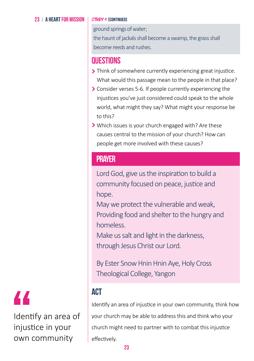### 23 | A HEART FOR MISSION

### STUDY 4 [CONTINUED]

ground springs of water;

the haunt of jackals shall become a swamp, the grass shall become reeds and rushes.

## **Questions**

- Inink of somewhere currently experiencing great injustice. What would this passage mean to the people in that place?
- Consider verses 5-6. If people currently experiencing the injustices you've just considered could speak to the whole world, what might they say? What might your response be to this?
- Which issues is your church engaged with? Are these causes central to the mission of your church? How can people get more involved with these causes?

## **Prayer**

Lord God, give us the inspiration to build a community focused on peace, justice and hope.

May we protect the vulnerable and weak, Providing food and shelter to the hungry and homeless.

Make us salt and light in the darkness, through Jesus Christ our Lord.

By Ester Snow Hnin Hnin Aye, Holy Cross Theological College, Yangon

## **ACT**

Identify an area of injustice in your own community, think how your church may be able to address this and think who your church might need to partner with to combat this injustice effectively.

## "

Identify an area of injustice in your own community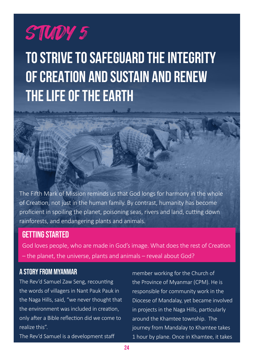## STUDY 5

**TO STRIVE TO SAFEGUARD THE INTEGRITY OF CREATION AND SUSTAIN AND RENEW THE LIFE OF THE EARTH**

The Fifth Mark of Mission reminds us that God longs for harmony in the whole of Creation, not just in the human family. By contrast, humanity has become proficient in spoiling the planet, poisoning seas, rivers and land, cutting down rainforests, and endangering plants and animals.

## GETTING STARTED

God loves people, who are made in God's image. What does the rest of Creation – the planet, the universe, plants and animals – reveal about God?

## A Story from Myanmar

The Rev'd Samuel Zaw Seng, recounting the words of villagers in Nant Pauk Pauk in the Naga Hills, said, "we never thought that the environment was included in creation, only after a Bible reflection did we come to realize this".

The Rev'd Samuel is a development staff

member working for the Church of the Province of Myanmar (CPM). He is responsible for community work in the Diocese of Mandalay, yet became involved in projects in the Naga Hills, particularly around the Khamtee township. The journey from Mandalay to Khamtee takes 1 hour by plane. Once in Khamtee, it takes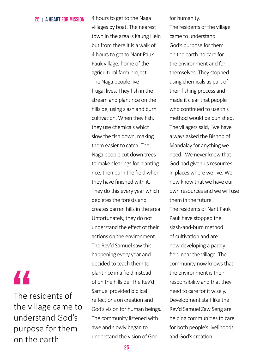25 A HEART FOR MISSION  $\parallel$  4 hours to get to the Naga villages by boat. The nearest town in the area is Kaung Hein but from there it is a walk of 4 hours to get to Nant Pauk Pauk village, home of the agricultural farm project. The Naga people live frugal lives. They fish in the stream and plant rice on the hillside, using slash and burn cultivation. When they fish, they use chemicals which slow the fish down, making them easier to catch. The Naga people cut down trees to make clearings for planting rice, then burn the field when they have finished with it. They do this every year which depletes the forests and creates barren hills in the area. Unfortunately, they do not understand the effect of their actions on the environment. The Rev'd Samuel saw this happening every year and decided to teach them to plant rice in a field instead of on the hillside. The Rev'd Samuel provided biblical reflections on creation and God's vision for human beings. The community listened with awe and slowly began to understand the vision of God

for humanity.

The residents of the village came to understand God's purpose for them on the earth: to care for the environment and for themselves. They stopped using chemicals as part of their fishing process and made it clear that people who continued to use this method would be punished. The villagers said, "we have always asked the Bishop of Mandalay for anything we need. We never knew that God had given us resources in places where we live. We now know that we have our own resources and we will use them in the future". The residents of Nant Pauk Pauk have stopped the slash-and-burn method of cultivation and are now developing a paddy field near the village. The community now knows that the environment is their responsibility and that they need to care for it wisely. Development staff like the Rev'd Samuel Zaw Seng are helping communities to care for both people's livelihoods and God's creation.

## "

The residents of the village came to understand God's purpose for them on the earth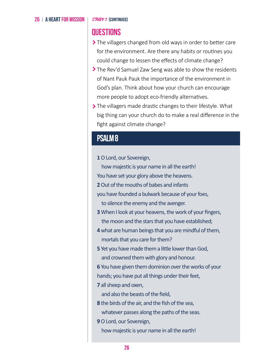## **Questions**

- > The villagers changed from old ways in order to better care for the environment. Are there any habits or routines you could change to lessen the effects of climate change?
- The Rev'd Samuel Zaw Seng was able to show the residents of Nant Pauk Pauk the importance of the environment in God's plan. Think about how your church can encourage more people to adopt eco-friendly alternatives.
- The villagers made drastic changes to their lifestyle. What big thing can your church do to make a real difference in the fight against climate change?

## **Psalm 8**

**1** O Lord, our Sovereign,

how majestic is your name in all the earth!

You have set your glory above the heavens.

**2** Out of the mouths of babes and infants

you have founded a bulwark because of your foes, to silence the enemy and the avenger.

**3** When I look at your heavens, the work of your fingers, the moon and the stars that you have established;

**4** what are human beings that you are mindful of them, mortals that you care for them?

**5** Yet you have made them a little lower than God, and crowned them with glory and honour.

**6** You have given them dominion over the works of your hands; you have put all things under their feet,

**7** all sheep and oxen,

and also the beasts of the field,

**8** the birds of the air, and the fish of the sea, whatever passes along the paths of the seas.

**9** O Lord, our Sovereign,

how majestic is your name in all the earth!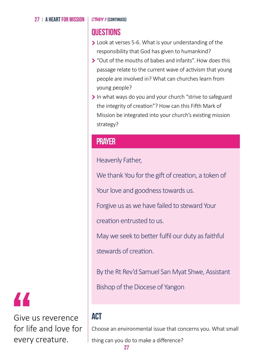### 27 | A HEART FOR MISSION

STUDY 5 [CONTINUED]

## **Questions**

- Look at verses 5-6. What is your understanding of the responsibility that God has given to humankind?
- "Out of the mouths of babes and infants". How does this passage relate to the current wave of activism that young people are involved in? What can churches learn from young people?
- In what ways do you and your church "strive to safeguard the integrity of creation"? How can this Fifth Mark of Mission be integrated into your church's existing mission strategy?

## **Prayer**

Heavenly Father,

We thank You for the gift of creation, a token of

Your love and goodness towards us.

Forgive us as we have failed to steward Your

creation entrusted to us.

May we seek to better fulfil our duty as faithful

stewards of creation.

By the Rt Rev'd Samuel San Myat Shwe, Assistant

Bishop of the Diocese of Yangon

## **ACT**

Choose an environmental issue that concerns you. What small

thing can you do to make a difference?

Give us reverence for life and love for every creature.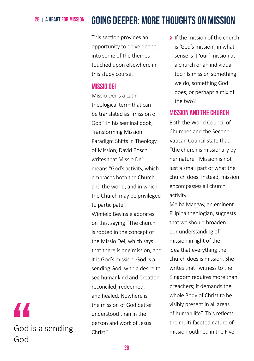## 28 A HEART FOR MISSION **GOING DEEPER: MORE THOUGHTS ON MISSION**

This section provides an opportunity to delve deeper into some of the themes touched upon elsewhere in this study course.

## **Missio Dei**

Missio Dei is a Latin theological term that can be translated as "mission of God". In his seminal book, Transforming Mission: Paradigm Shifts in Theology of Mission, David Bosch writes that Missio Dei means "God's activity, which embraces both the Church and the world, and in which the Church may be privileged to participate".

Winfield Bevins elaborates on this, saying "The church is rooted in the concept of the Missio Dei, which says that there is one mission, and it is God's mission. God is a sending God, with a desire to see humankind and Creation reconciled, redeemed, and healed. Nowhere is the mission of God better understood than in the person and work of Jesus Christ".

If the mission of the church is 'God's mission', in what sense is it 'our' mission as a church or an individual too? Is mission something we do, something God does, or perhaps a mix of the two?

## **Mission and the church**

Both the World Council of Churches and the Second Vatican Council state that "the church is missionary by her nature". Mission is not just a small part of what the church does. Instead, mission encompasses all church activity.

Melba Maggay, an eminent Filipina theologian, suggests that we should broaden our understanding of mission in light of the idea that everything the church does is mission. She writes that "witness to the Kingdom requires more than preachers; it demands the whole Body of Christ to be visibly present in all areas of human life". This reflects the multi-faceted nature of mission outlined in the Five

## " God is a sending God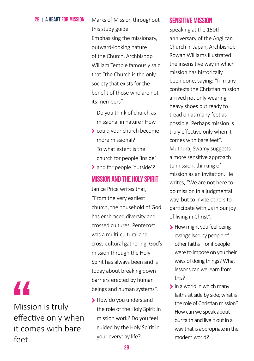### 29 | A HEART FOR MISSION | Marks of Mission throughout

this study guide. Emphasising the missionary, outward-looking nature of the Church, Archbishop William Temple famously said that "the Church is the only society that exists for the benefit of those who are not its members".

- Do you think of church as missional in nature? How
- could your church become more missional? To what extent is the church for people 'inside'
- > and for people 'outside'?

### **Mission and the Holy Spirit**

Janice Price writes that, "From the very earliest church, the household of God has embraced diversity and crossed cultures. Pentecost was a multi-cultural and cross-cultural gathering. God's mission through the Holy Spirit has always been and is today about breaking down barriers erected by human beings and human systems".

> How do you understand the role of the Holy Spirit in mission work? Do you feel guided by the Holy Spirit in your everyday life?

## **Sensitive Mission**

Speaking at the 150th anniversary of the Anglican Church in Japan, Archbishop Rowan Williams illustrated the insensitive way in which mission has historically been done, saying: "In many contexts the Christian mission arrived not only wearing heavy shoes but ready to tread on as many feet as possible. Perhaps mission is truly effective only when it comes with bare feet". Muthuraj Swamy suggests a more sensitive approach to mission, thinking of mission as an invitation. He writes, "We are not here to do mission in a judgmental way, but to invite others to participate with us in our joy of living in Christ".

- > How might you feel being evangelised by people of other faiths – or if people were to impose on you their ways of doing things? What lessons can we learn from this?
- $\blacktriangleright$  In a world in which many faiths sit side by side, what is the role of Christian mission? How can we speak about our faith and live it out in a way that is appropriate in the modern world?

"

Mission is truly effective only when it comes with bare feet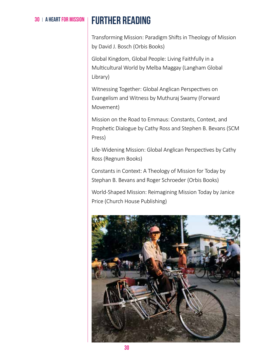## **30 | A HEART FOR MISSION | FIIRTHER READING**

Transforming Mission: Paradigm Shifts in Theology of Mission by David J. Bosch (Orbis Books)

Global Kingdom, Global People: Living Faithfully in a Multicultural World by Melba Maggay (Langham Global Library)

Witnessing Together: Global Anglican Perspectives on Evangelism and Witness by Muthuraj Swamy (Forward Movement)

Mission on the Road to Emmaus: Constants, Context, and Prophetic Dialogue by Cathy Ross and Stephen B. Bevans (SCM Press)

Life-Widening Mission: Global Anglican Perspectives by Cathy Ross (Regnum Books)

Constants in Context: A Theology of Mission for Today by Stephan B. Bevans and Roger Schroeder (Orbis Books)

World-Shaped Mission: Reimagining Mission Today by Janice Price (Church House Publishing)